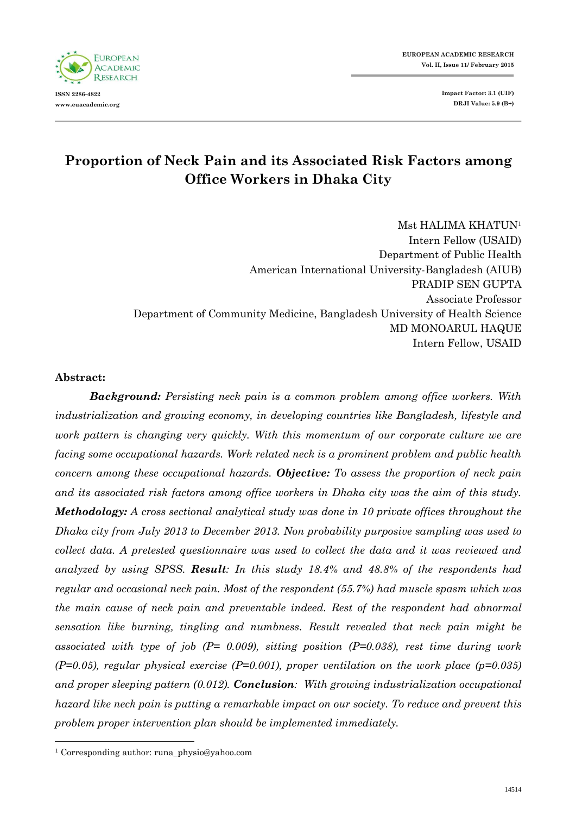**EUROPEAN ACADEMIC RESEARCH Vol. II, Issue 11/ February 2015**

> **Impact Factor: 3.1 (UIF) DRJI Value: 5.9 (B+)**



# **Proportion of Neck Pain and its Associated Risk Factors among Office Workers in Dhaka City**

Mst HALIMA KHATUN<sup>1</sup> Intern Fellow (USAID) Department of Public Health American International University-Bangladesh (AIUB) PRADIP SEN GUPTA Associate Professor Department of Community Medicine, Bangladesh University of Health Science MD MONOARUL HAQUE Intern Fellow, USAID

#### **Abstract:**

 $\overline{a}$ 

*Background: Persisting neck pain is a common problem among office workers. With industrialization and growing economy, in developing countries like Bangladesh, lifestyle and work pattern is changing very quickly. With this momentum of our corporate culture we are facing some occupational hazards. Work related neck is a prominent problem and public health concern among these occupational hazards. Objective: To assess the proportion of neck pain and its associated risk factors among office workers in Dhaka city was the aim of this study. Methodology: A cross sectional analytical study was done in 10 private offices throughout the Dhaka city from July 2013 to December 2013. Non probability purposive sampling was used to collect data. A pretested questionnaire was used to collect the data and it was reviewed and analyzed by using SPSS. Result: In this study 18.4% and 48.8% of the respondents had regular and occasional neck pain. Most of the respondent (55.7%) had muscle spasm which was the main cause of neck pain and preventable indeed. Rest of the respondent had abnormal sensation like burning, tingling and numbness. Result revealed that neck pain might be associated with type of job (P= 0.009), sitting position (P=0.038), rest time during work (P=0.05), regular physical exercise (P=0.001), proper ventilation on the work place (p=0.035) and proper sleeping pattern (0.012). Conclusion: With growing industrialization occupational hazard like neck pain is putting a remarkable impact on our society. To reduce and prevent this problem proper intervention plan should be implemented immediately.*

<sup>1</sup> Corresponding author: runa\_physio@yahoo.com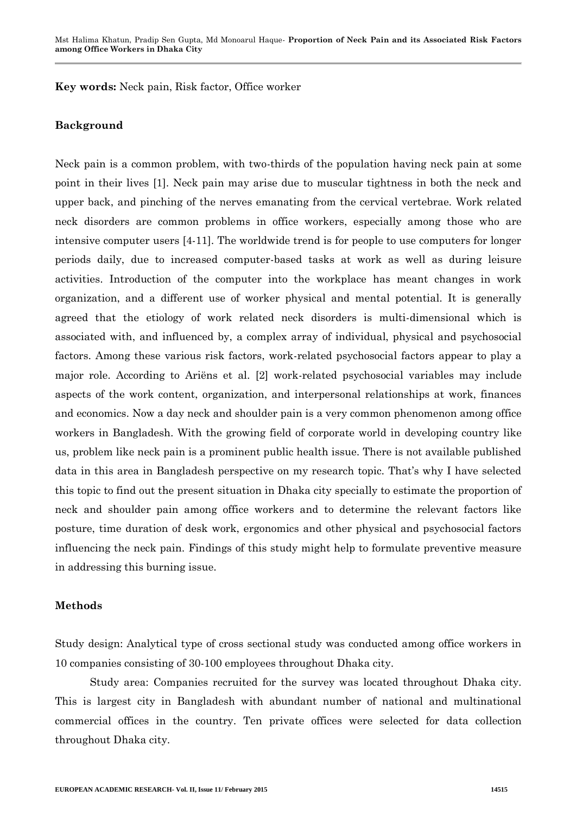**Key words:** Neck pain, Risk factor, Office worker

#### **Background**

Neck pain is a common problem, with two-thirds of the population having neck pain at some point in their lives [1]. Neck pain may arise due to muscular tightness in both the neck and upper back, and pinching of the nerves emanating from the cervical vertebrae. Work related neck disorders are common problems in office workers, especially among those who are intensive computer users [4-11]. The worldwide trend is for people to use computers for longer periods daily, due to increased computer-based tasks at work as well as during leisure activities. Introduction of the computer into the workplace has meant changes in work organization, and a different use of worker physical and mental potential. It is generally agreed that the etiology of work related neck disorders is multi-dimensional which is associated with, and influenced by, a complex array of individual, physical and psychosocial factors. Among these various risk factors, work-related psychosocial factors appear to play a major role. According to Ariëns et al. [2] work-related psychosocial variables may include aspects of the work content, organization, and interpersonal relationships at work, finances and economics. Now a day neck and shoulder pain is a very common phenomenon among office workers in Bangladesh. With the growing field of corporate world in developing country like us, problem like neck pain is a prominent public health issue. There is not available published data in this area in Bangladesh perspective on my research topic. That's why I have selected this topic to find out the present situation in Dhaka city specially to estimate the proportion of neck and shoulder pain among office workers and to determine the relevant factors like posture, time duration of desk work, ergonomics and other physical and psychosocial factors influencing the neck pain. Findings of this study might help to formulate preventive measure in addressing this burning issue.

#### **Methods**

Study design: Analytical type of cross sectional study was conducted among office workers in 10 companies consisting of 30-100 employees throughout Dhaka city.

Study area: Companies recruited for the survey was located throughout Dhaka city. This is largest city in Bangladesh with abundant number of national and multinational commercial offices in the country. Ten private offices were selected for data collection throughout Dhaka city.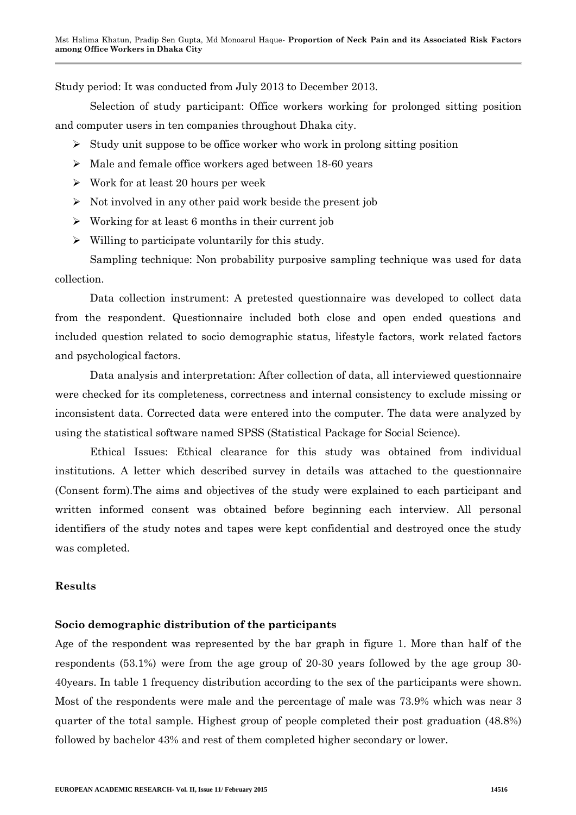Study period: It was conducted from July 2013 to December 2013.

Selection of study participant: Office workers working for prolonged sitting position and computer users in ten companies throughout Dhaka city.

- $\geq$  Study unit suppose to be office worker who work in prolong sitting position
- Male and female office workers aged between 18-60 years
- $\triangleright$  Work for at least 20 hours per week
- $\triangleright$  Not involved in any other paid work beside the present job
- $\triangleright$  Working for at least 6 months in their current job
- $\triangleright$  Willing to participate voluntarily for this study.

Sampling technique: Non probability purposive sampling technique was used for data collection.

Data collection instrument: A pretested questionnaire was developed to collect data from the respondent. Questionnaire included both close and open ended questions and included question related to socio demographic status, lifestyle factors, work related factors and psychological factors.

Data analysis and interpretation: After collection of data, all interviewed questionnaire were checked for its completeness, correctness and internal consistency to exclude missing or inconsistent data. Corrected data were entered into the computer. The data were analyzed by using the statistical software named SPSS (Statistical Package for Social Science).

Ethical Issues: Ethical clearance for this study was obtained from individual institutions. A letter which described survey in details was attached to the questionnaire (Consent form).The aims and objectives of the study were explained to each participant and written informed consent was obtained before beginning each interview. All personal identifiers of the study notes and tapes were kept confidential and destroyed once the study was completed.

#### **Results**

#### **Socio demographic distribution of the participants**

Age of the respondent was represented by the bar graph in figure 1. More than half of the respondents (53.1%) were from the age group of 20-30 years followed by the age group 30- 40years. In table 1 frequency distribution according to the sex of the participants were shown. Most of the respondents were male and the percentage of male was 73.9% which was near 3 quarter of the total sample. Highest group of people completed their post graduation (48.8%) followed by bachelor 43% and rest of them completed higher secondary or lower.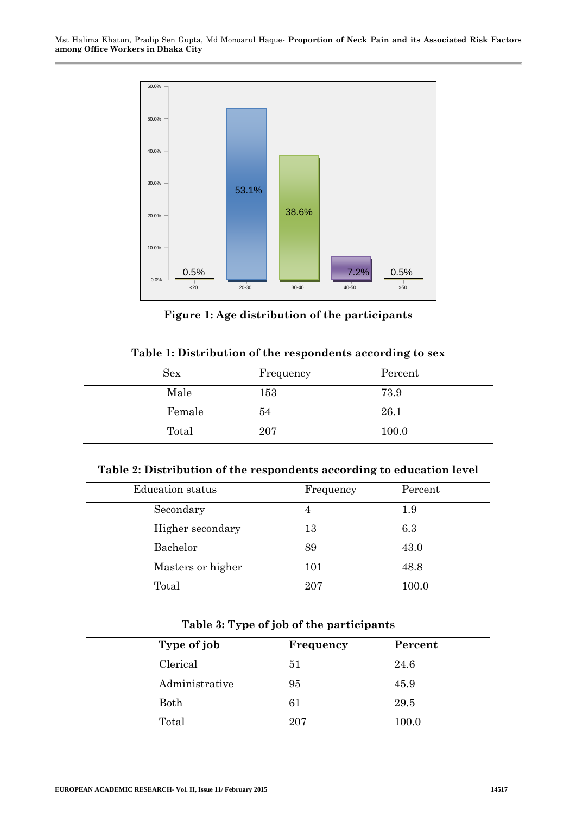

**Figure 1: Age distribution of the participants**

|  |  |  | Table 1: Distribution of the respondents according to sex |  |
|--|--|--|-----------------------------------------------------------|--|
|  |  |  |                                                           |  |

| Sex    | Frequency | Percent |
|--------|-----------|---------|
| Male   | 153       | 73.9    |
| Female | 54        | 26.1    |
| Total  | 207       | 100.0   |

#### **Table 2: Distribution of the respondents according to education level**

| <b>Education</b> status | Frequency | Percent |
|-------------------------|-----------|---------|
| Secondary               | 4         | $1.9\,$ |
| Higher secondary        | 13        | 6.3     |
| Bachelor                | 89        | 43.0    |
| Masters or higher       | 101       | 48.8    |
| Total                   | 207       | 100.0   |
|                         |           |         |

#### **Table 3: Type of job of the participants**

| Type of job    | Frequency | Percent |
|----------------|-----------|---------|
| Clerical       | 51        | 24.6    |
| Administrative | 95        | 45.9    |
| Both           | 61        | 29.5    |
| Total          | 207       | 100.0   |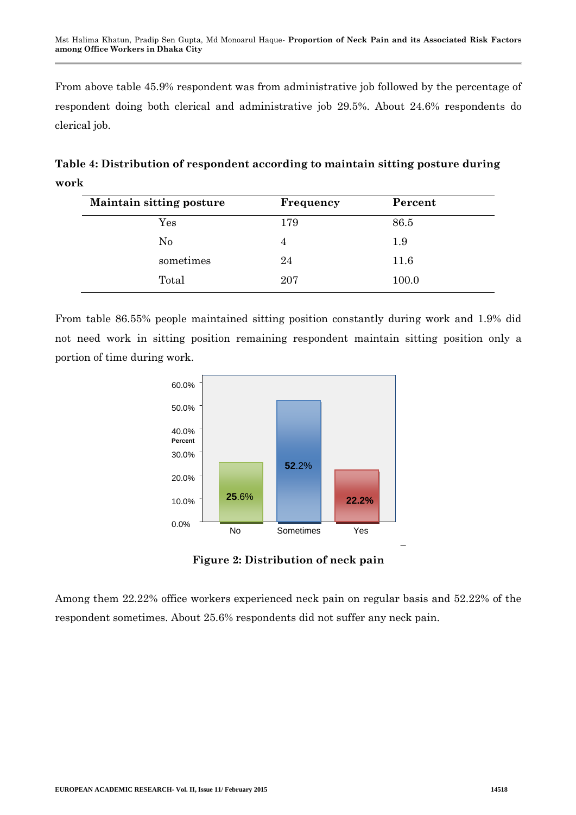From above table 45.9% respondent was from administrative job followed by the percentage of respondent doing both clerical and administrative job 29.5%. About 24.6% respondents do clerical job.

**Table 4: Distribution of respondent according to maintain sitting posture during work**

| <b>Maintain sitting posture</b> | Frequency | Percent |
|---------------------------------|-----------|---------|
| $\operatorname{Yes}$            | 179       | 86.5    |
| No                              | 4         | $1.9\,$ |
| sometimes                       | 24        | 11.6    |
| Total                           | 207       | 100.0   |

From table 86.55% people maintained sitting position constantly during work and 1.9% did not need work in sitting position remaining respondent maintain sitting position only a portion of time during work.



**Figure 2: Distribution of neck pain**

Among them 22.22% office workers experienced neck pain on regular basis and 52.22% of the respondent sometimes. About 25.6% respondents did not suffer any neck pain.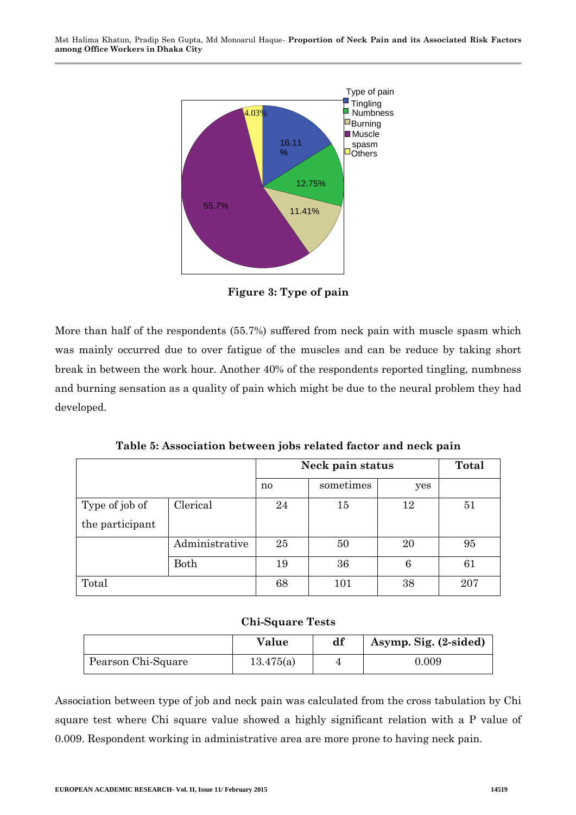Mst Halima Khatun, Pradip Sen Gupta, Md Monoarul Haque*-* **Proportion of Neck Pain and its Associated Risk Factors among Office Workers in Dhaka City**



**Figure 3: Type of pain**

More than half of the respondents (55.7%) suffered from neck pain with muscle spasm which was mainly occurred due to over fatigue of the muscles and can be reduce by taking short break in between the work hour. Another 40% of the respondents reported tingling, numbness and burning sensation as a quality of pain which might be due to the neural problem they had developed.

**Table 5: Association between jobs related factor and neck pain**

|                 |                | Neck pain status |           |     | Total |
|-----------------|----------------|------------------|-----------|-----|-------|
|                 |                | no               | sometimes | yes |       |
| Type of job of  | Clerical       | 24               | 15        | 12  | 51    |
| the participant |                |                  |           |     |       |
|                 | Administrative | 25               | 50        | 20  | 95    |
|                 | Both           | 19               | 36        | 6   | 61    |
| Total           |                | 68               | 101       | 38  | 207   |

#### **Chi-Square Tests**

|                    | Value     | df | Asymp. Sig. (2-sided) |
|--------------------|-----------|----|-----------------------|
| Pearson Chi-Square | 13.475(a) |    | $\,0.009\,$           |

Association between type of job and neck pain was calculated from the cross tabulation by Chi square test where Chi square value showed a highly significant relation with a P value of 0.009. Respondent working in administrative area are more prone to having neck pain.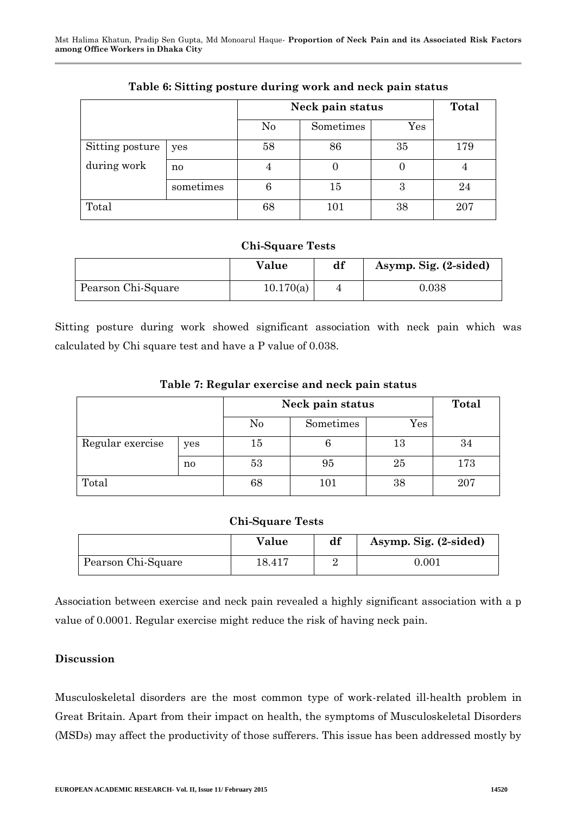|                 |           | Neck pain status | Total     |                      |     |
|-----------------|-----------|------------------|-----------|----------------------|-----|
|                 |           | N <sub>0</sub>   | Sometimes | $\operatorname{Yes}$ |     |
| Sitting posture | yes       | 58               | 86        | 35                   | 179 |
| during work     | no        | 4                |           |                      |     |
|                 | sometimes | 6                | $15\,$    | 3                    | 24  |
| Total           |           | 68               | 101       | 38                   | 207 |

## **Table 6: Sitting posture during work and neck pain status**

### **Chi-Square Tests**

|                    | Value     | df | Asymp. Sig. (2-sided) |
|--------------------|-----------|----|-----------------------|
| Pearson Chi-Square | 10.170(a) |    | ${0.038}$             |

Sitting posture during work showed significant association with neck pain which was calculated by Chi square test and have a P value of 0.038.

| Table 7: Regular exercise and neck pain status |  |  |  |
|------------------------------------------------|--|--|--|
|------------------------------------------------|--|--|--|

|                  |     | Neck pain status |           |        | Total |
|------------------|-----|------------------|-----------|--------|-------|
|                  |     | $\rm No$         | Sometimes | Yes    |       |
| Regular exercise | yes | $15\,$           |           | $13\,$ | 34    |
|                  | no  | 53               | 95        | 25     | 173   |
| Total            |     | 68               | 101       | 38     | 207   |

## **Chi-Square Tests**

|                    | Value  | df | Asymp. Sig. (2-sided) |
|--------------------|--------|----|-----------------------|
| Pearson Chi-Square | 18.417 |    | $0.001\,$             |

Association between exercise and neck pain revealed a highly significant association with a p value of 0.0001. Regular exercise might reduce the risk of having neck pain.

## **Discussion**

Musculoskeletal disorders are the most common type of work-related ill-health problem in Great Britain. Apart from their impact on health, the symptoms of Musculoskeletal Disorders (MSDs) may affect the productivity of those sufferers. This issue has been addressed mostly by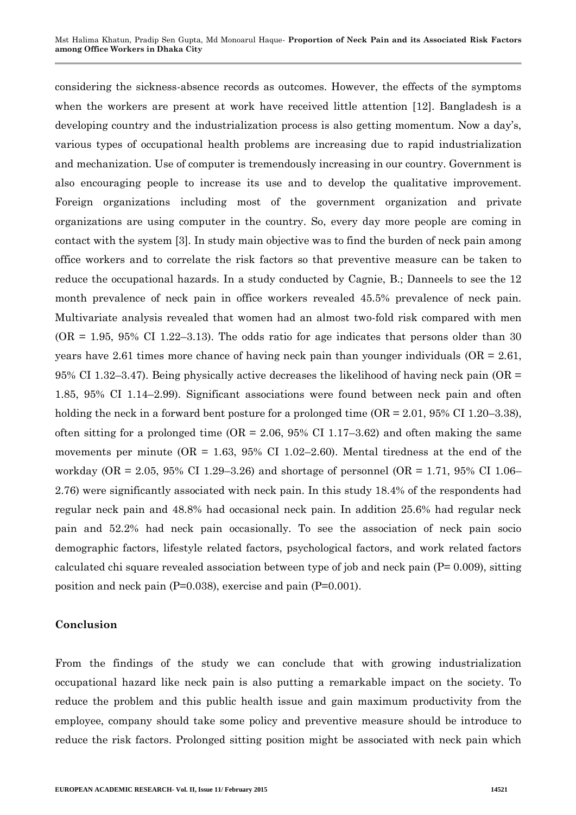considering the sickness-absence records as outcomes. However, the effects of the symptoms when the workers are present at work have received little attention [12]. Bangladesh is a developing country and the industrialization process is also getting momentum. Now a day's, various types of occupational health problems are increasing due to rapid industrialization and mechanization. Use of computer is tremendously increasing in our country. Government is also encouraging people to increase its use and to develop the qualitative improvement. Foreign organizations including most of the government organization and private organizations are using computer in the country. So, every day more people are coming in contact with the system [3]. In study main objective was to find the burden of neck pain among office workers and to correlate the risk factors so that preventive measure can be taken to reduce the occupational hazards. In a study conducted by Cagnie, B.; Danneels to see the 12 month prevalence of neck pain in office workers revealed 45.5% prevalence of neck pain. Multivariate analysis revealed that women had an almost two-fold risk compared with men  $(OR = 1.95, 95\% \text{ CI } 1.22-3.13)$ . The odds ratio for age indicates that persons older than 30 years have 2.61 times more chance of having neck pain than younger individuals  $(OR = 2.61)$ . 95% CI 1.32–3.47). Being physically active decreases the likelihood of having neck pain (OR = 1.85, 95% CI 1.14–2.99). Significant associations were found between neck pain and often holding the neck in a forward bent posture for a prolonged time  $(OR = 2.01, 95\% \text{ CI } 1.20-3.38)$ , often sitting for a prolonged time  $(OR = 2.06, 95\% \text{ CI } 1.17-3.62)$  and often making the same movements per minute  $(OR = 1.63, 95\% \text{ CI } 1.02-2.60)$ . Mental tiredness at the end of the workday (OR = 2.05, 95% CI 1.29–3.26) and shortage of personnel (OR = 1.71, 95% CI 1.06– 2.76) were significantly associated with neck pain. In this study 18.4% of the respondents had regular neck pain and 48.8% had occasional neck pain. In addition 25.6% had regular neck pain and 52.2% had neck pain occasionally. To see the association of neck pain socio demographic factors, lifestyle related factors, psychological factors, and work related factors calculated chi square revealed association between type of job and neck pain (P= 0.009), sitting position and neck pain (P=0.038), exercise and pain (P=0.001).

#### **Conclusion**

From the findings of the study we can conclude that with growing industrialization occupational hazard like neck pain is also putting a remarkable impact on the society. To reduce the problem and this public health issue and gain maximum productivity from the employee, company should take some policy and preventive measure should be introduce to reduce the risk factors. Prolonged sitting position might be associated with neck pain which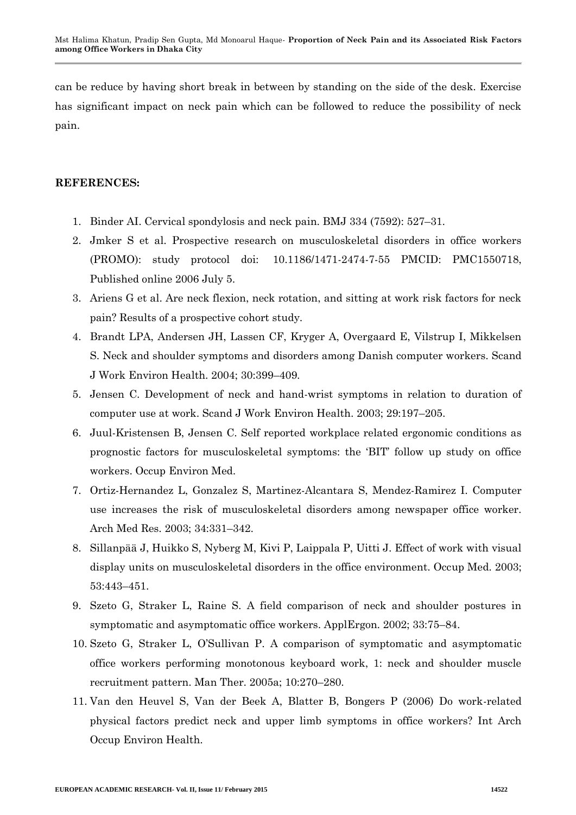can be reduce by having short break in between by standing on the side of the desk. Exercise has significant impact on neck pain which can be followed to reduce the possibility of neck pain.

### **REFERENCES:**

- 1. Binder AI. Cervical spondylosis and neck pain. BMJ 334 (7592): 527–31.
- 2. [Jmker](http://www.ncbi.nlm.nih.gov/sites/entrez?cmd=search&db=PubMed&term=%20IJmker%2BS%5bauth%5d) S et al. Prospective research on musculoskeletal disorders in office workers (PROMO): study protocol doi: [10.1186/1471-2474-7-55](http://dx.crossref.org/10.1186%2F1471-2474-7-55) PMCID: PMC1550718, Published online 2006 July 5.
- 3. [Ariens](http://www.ncbi.nlm.nih.gov/sites/entrez?cmd=search&db=PubMed&term=%20Ariens%2BG%5bauth%5d) G et al. Are neck flexion, neck rotation, and sitting at work risk factors for neck pain? Results of a prospective cohort study.
- 4. Brandt LPA, Andersen JH, Lassen CF, Kryger A, Overgaard E, Vilstrup I, Mikkelsen S. Neck and shoulder symptoms and disorders among Danish computer workers. Scand J Work Environ Health. 2004; 30:399–409.
- 5. Jensen C. Development of neck and hand-wrist symptoms in relation to duration of computer use at work. Scand J Work Environ Health. 2003; 29:197–205.
- 6. Juul-Kristensen B, Jensen C. Self reported workplace related ergonomic conditions as prognostic factors for musculoskeletal symptoms: the 'BIT' follow up study on office workers. Occup Environ Med.
- 7. Ortiz-Hernandez L, Gonzalez S, Martinez-Alcantara S, Mendez-Ramirez I. Computer use increases the risk of musculoskeletal disorders among newspaper office worker. Arch Med Res. 2003; 34:331–342.
- 8. Sillanpää J, Huikko S, Nyberg M, Kivi P, Laippala P, Uitti J. Effect of work with visual display units on musculoskeletal disorders in the office environment. Occup Med. 2003; 53:443–451.
- 9. Szeto G, Straker L, Raine S. A field comparison of neck and shoulder postures in symptomatic and asymptomatic office workers. ApplErgon. 2002; 33:75–84.
- 10. Szeto G, Straker L, O'Sullivan P. A comparison of symptomatic and asymptomatic office workers performing monotonous keyboard work, 1: neck and shoulder muscle recruitment pattern. Man Ther. 2005a; 10:270–280.
- 11. Van den Heuvel S, Van der Beek A, Blatter B, Bongers P (2006) Do work-related physical factors predict neck and upper limb symptoms in office workers? Int Arch Occup Environ Health.